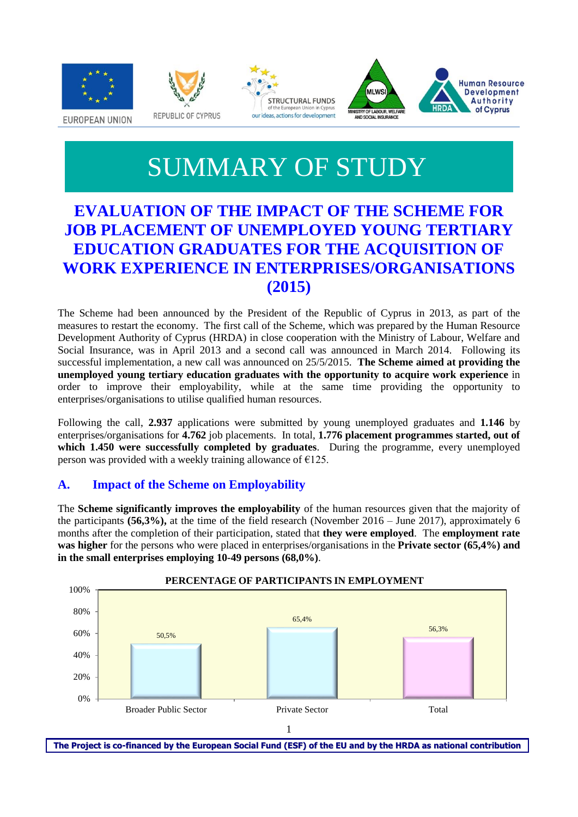







# SUMMARY OF STUDY

# **EVALUATION OF THE IMPACT OF THE SCHEME FOR JOB PLACEMENT OF UNEMPLOYED YOUNG TERTIARY EDUCATION GRADUATES FOR THE ACQUISITION OF WORK EXPERIENCE IN ENTERPRISES/ORGANISATIONS (2015)**

The Scheme had been announced by the President of the Republic of Cyprus in 2013, as part of the measures to restart the economy. The first call of the Scheme, which was prepared by the Human Resource Development Authority of Cyprus (HRDA) in close cooperation with the Ministry of Labour, Welfare and Social Insurance, was in April 2013 and a second call was announced in March 2014. Following its successful implementation, a new call was announced on 25/5/2015. **The Scheme aimed at providing the unemployed young tertiary education graduates with the opportunity to acquire work experience** in order to improve their employability, while at the same time providing the opportunity to enterprises/organisations to utilise qualified human resources.

Following the call, **2.937** applications were submitted by young unemployed graduates and **1.146** by enterprises/organisations for **4.762** job placements. In total, **1.776 placement programmes started, out of which 1.450 were successfully completed by graduates**. During the programme, every unemployed person was provided with a weekly training allowance of  $E125$ .

## **A. Impact of the Scheme on Employability**

The **Scheme significantly improves the employability** of the human resources given that the majority of the participants **(56,3%),** at the time of the field research (November 2016 – June 2017), approximately 6 months after the completion of their participation, stated that **they were employed**. The **employment rate was higher** for the persons who were placed in enterprises/organisations in the **Private sector (65,4%) and in the small enterprises employing 10-49 persons (68,0%)**.



The Project is co-financed by the European Social Fund (ESF) of the EU and by the HRDA as national contribution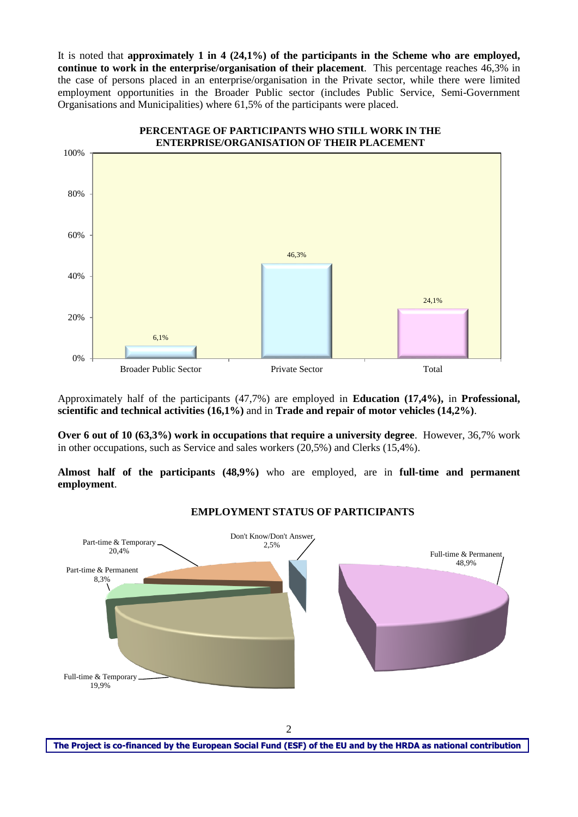It is noted that **approximately 1 in 4 (24,1%) of the participants in the Scheme who are employed, continue to work in the enterprise/organisation of their placement**. This percentage reaches 46,3% in the case of persons placed in an enterprise/organisation in the Private sector, while there were limited employment opportunities in the Broader Public sector (includes Public Service, Semi-Government Organisations and Municipalities) where 61,5% of the participants were placed.



Approximately half of the participants (47,7%) are employed in **Education (17,4%),** in **Professional, scientific and technical activities (16,1%)** and in **Trade and repair of motor vehicles (14,2%)**.

**Over 6 out of 10 (63,3%) work in occupations that require a university degree**. However, 36,7% work in other occupations, such as Service and sales workers (20,5%) and Clerks (15,4%).

**Almost half of the participants (48,9%)** who are employed, are in **full-time and permanent employment**.



#### **EMPLOYMENT STATUS OF PARTICIPANTS**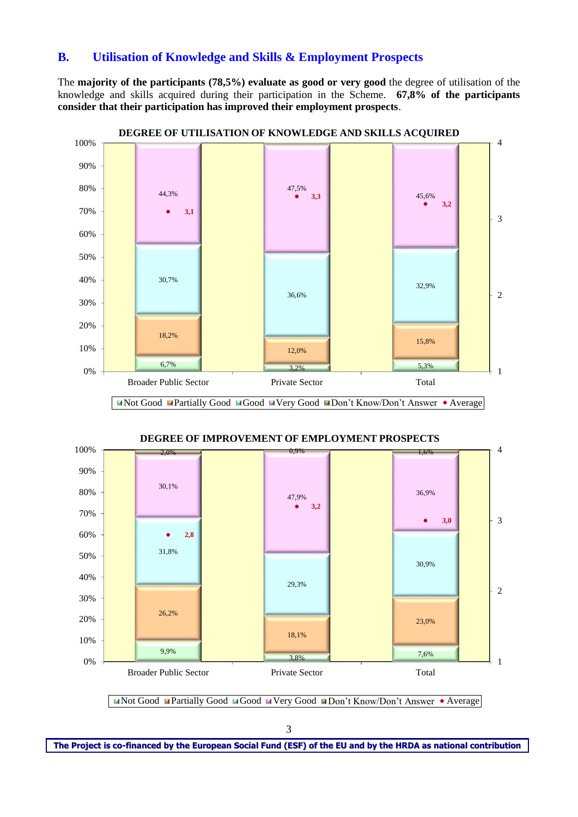#### **B. Utilisation of Knowledge and Skills & Employment Prospects**

The **majority of the participants (78,5%) evaluate as good or very good** the degree of utilisation of the knowledge and skills acquired during their participation in the Scheme. **67,8% of the participants consider that their participation has improved their employment prospects**.



**DEGREE OF IMPROVEMENT OF EMPLOYMENT PROSPECTS**





The Project is co-financed by the European Social Fund (ESF) of the EU and by the HRDA as national contribution